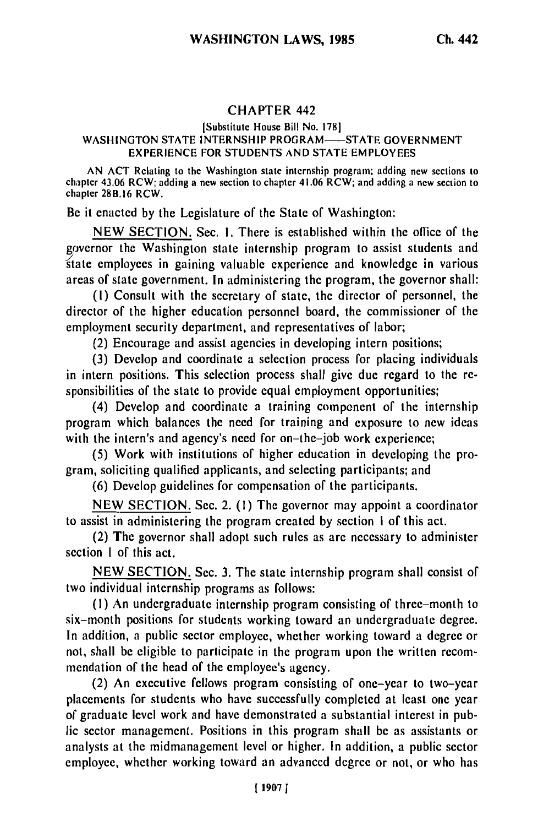## **CHAPTER** 442

## [Substitute House Bill No. **178]** WASHINGTON STATE INTERNSHIP PROGRAM-STATE GOVERNMENT EXPERIENCE FOR STUDENTS AND STATE EMPLOYEES

AN ACT Relating to the Washington state internship program; adding new sections to chapter 43.06 RCW; adding a new section to chapter 41.06 RCW; and adding a new section to chapter 28B.16 RCW.

Be it enacted by the Legislature of the State of Washington:

NEW SECTION. Sec. **1.** There is established within the office of the governor the Washington state internship program to assist students and state employees in gaining valuable experience and knowledge in various areas of state government. In administering the program, the governor shall:

**(I)** Consult with the secretary of state, the director of personnel, the director of the higher education personnel board, the commissioner of the employment security department, and representatives of labor;

(2) Encourage and assist agencies in developing intern positions;

(3) Develop and coordinate a selection process for placing individuals in intern positions. This selection process shall give due regard to the responsibilities of the state to provide equal employment opportunities;

(4) Develop and coordinate a training component of the internship program which balances the need for training and exposure to new ideas with the intern's and agency's need for on-the-job work experience;

(5) Work with institutions of higher education in developing the program, soliciting qualified applicants, and selecting participants; and

(6) Develop guidelines for compensation of the participants.

NEW SECTION. Sec. 2. (1) The governor may appoint a coordinator to assist in administering the program created by section **I** of this act.

(2) The governor shall adopt such rules as are necessary to administer section I of this act.

NEW SECTION. Sec. 3. The state internship program shall consist of two individual internship programs as follows:

(I) An undergraduate internship program consisting of three-month to six-month positions for students working toward an undergraduate degree. In addition, a public sector employee, whether working toward a degree or not, shall be eligible to participate in the program upon the written recommendation of the head of the employee's agency.

(2) An executive fellows program consisting of one-year to two-year placements for students who have successfully completed at least one year of graduate level work and have demonstrated a substantial interest in public sector management. Positions in this program shall be as assistants or analysts at the midmanagement level or higher. In addition, a public sector employee, whether working toward an advanced degree or not, or who has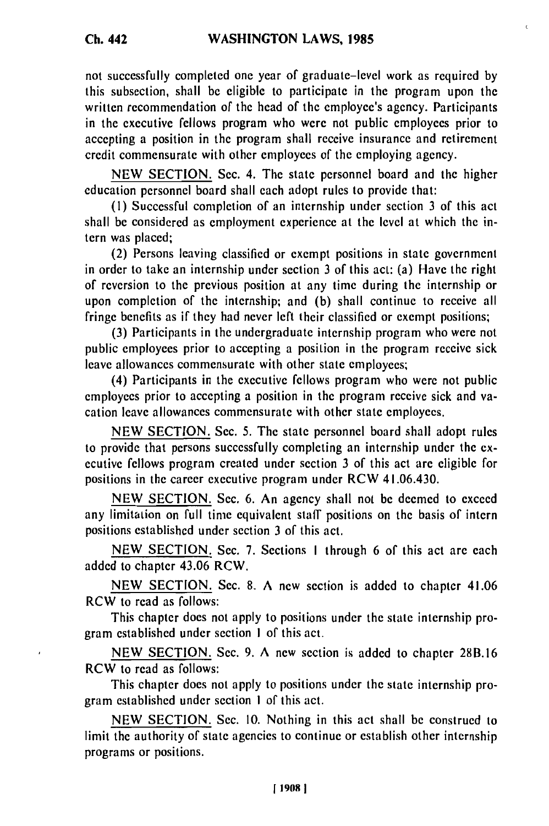**Ch. 442**

not successfully completed one year of graduate-level work as required by this subsection, shall be eligible to participate in the program upon the written recommendation of the head of the employee's agency. Participants in the executive fellows program who were not public employees prior to accepting a position in the program shall receive insurance and retirement credit commensurate with other employees of the employing agency.

NEW SECTION. Sec. 4. The state personnel board and the higher education personnel board shall each adopt rules to provide that:

**(I)** Successful completion of an internship under section 3 of this act shall be considered as employment experience at the level at which the intern was placed;

(2) Persons leaving classified or exempt positions in state government in order to take an internship under section 3 of this act: (a) Have the right of reversion to the previous position at any time during the internship or upon completion of the internship; and (b) shall continue to receive all fringe benefits as if they had never left their classified or exempt positions;

(3) Participants in the undergraduate internship program who were not public employees prior to accepting a position in the program receive sick leave allowances commensurate with other state employees;

(4) Participants in the executive fellows program who were not public employees prior to accepting a position in the program receive sick and vacation leave allowances commensurate with other state employees.

NEW SECTION. Sec. 5. The state personnel board shall adopt rules to provide that persons successfully completing an internship under the executive fellows program created under section 3 of this act are eligible for positions in the career executive program under RCW 41.06.430.

NEW SECTION. Sec. 6. An agency shall not be deemed to exceed any limitation on full time equivalent staff positions on the basis of intern positions established under section 3 of this act.

NEW SECTION. Sec. 7. Sections I through 6 of this act are each added to chapter 43.06 RCW.

NEW SECTION. Sec. 8. A new section is added to chapter 41.06 RCW to read as follows:

This chapter does not apply to positions under the state internship program established under section I of this act.

NEW SECTION. Sec. 9. A new section is added to chapter 28B.16 RCW to read as follows:

This chapter does not apply to positions under the state internship program established under section **I** of this act.

NEW SECTION. Sec. 10. Nothing in this act shall be construed to limit the authority of state agencies to continue or establish other internship programs or positions.